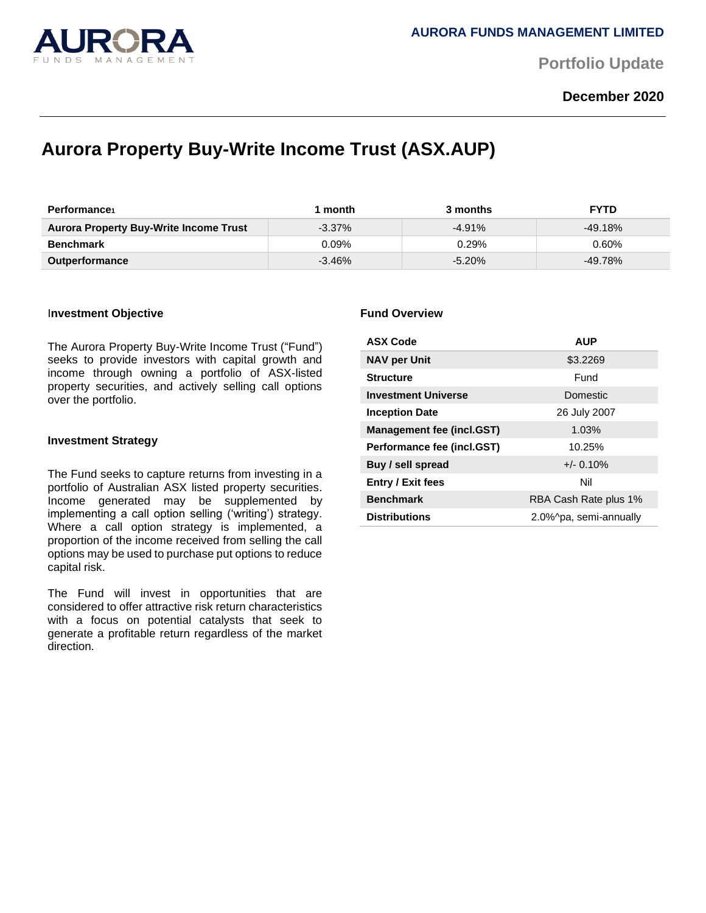

**Portfolio Update** 

## **December 2020**

# **Aurora Property Buy-Write Income Trust (ASX.AUP)**

| <b>Performance</b>                            | month     | 3 months | <b>FYTD</b> |
|-----------------------------------------------|-----------|----------|-------------|
| <b>Aurora Property Buy-Write Income Trust</b> | $-3.37\%$ | $-4.91%$ | $-49.18%$   |
| <b>Benchmark</b>                              | 0.09%     | 0.29%    | $0.60\%$    |
| <b>Outperformance</b>                         | $-3.46\%$ | $-5.20%$ | $-49.78%$   |

#### I**nvestment Objective**

The Aurora Property Buy-Write Income Trust ("Fund") seeks to provide investors with capital growth and income through owning a portfolio of ASX-listed property securities, and actively selling call options over the portfolio.

#### **Investment Strategy**

The Fund seeks to capture returns from investing in a portfolio of Australian ASX listed property securities. Income generated may be supplemented by implementing a call option selling ('writing') strategy. Where a call option strategy is implemented, a proportion of the income received from selling the call options may be used to purchase put options to reduce capital risk.

The Fund will invest in opportunities that are considered to offer attractive risk return characteristics with a focus on potential catalysts that seek to generate a profitable return regardless of the market direction.

#### **Fund Overview**

| <b>ASX Code</b>                  | <b>AUP</b>             |  |
|----------------------------------|------------------------|--|
| <b>NAV per Unit</b>              | \$3.2269               |  |
| <b>Structure</b>                 | Fund                   |  |
| <b>Investment Universe</b>       | Domestic               |  |
| <b>Inception Date</b>            | 26 July 2007           |  |
| <b>Management fee (incl.GST)</b> | 1.03%                  |  |
| Performance fee (incl.GST)       | 10.25%                 |  |
| Buy / sell spread                | $+/- 0.10%$            |  |
| Entry / Exit fees                | Nil                    |  |
| <b>Benchmark</b>                 | RBA Cash Rate plus 1%  |  |
| <b>Distributions</b>             | 2.0%^pa, semi-annually |  |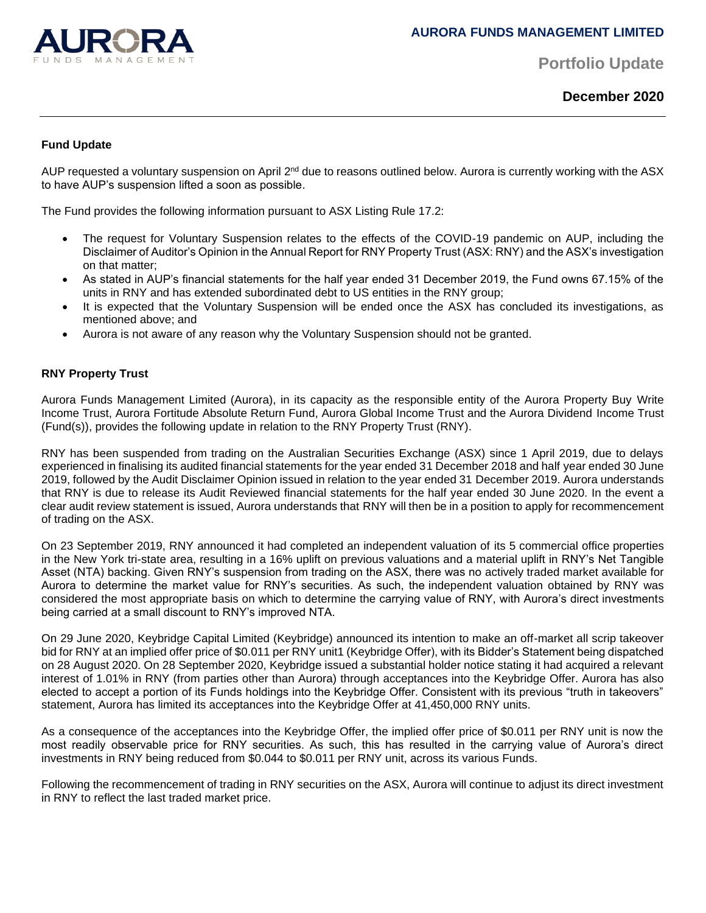

**Portfolio Update** 

**December 2020**

### **Fund Update**

AUP requested a voluntary suspension on April 2<sup>nd</sup> due to reasons outlined below. Aurora is currently working with the ASX to have AUP's suspension lifted a soon as possible.

The Fund provides the following information pursuant to ASX Listing Rule 17.2:

- The request for Voluntary Suspension relates to the effects of the COVID-19 pandemic on AUP, including the Disclaimer of Auditor's Opinion in the Annual Report for RNY Property Trust (ASX: RNY) and the ASX's investigation on that matter;
- As stated in AUP's financial statements for the half year ended 31 December 2019, the Fund owns 67.15% of the units in RNY and has extended subordinated debt to US entities in the RNY group;
- It is expected that the Voluntary Suspension will be ended once the ASX has concluded its investigations, as mentioned above; and
- Aurora is not aware of any reason why the Voluntary Suspension should not be granted.

#### **RNY Property Trust**

Aurora Funds Management Limited (Aurora), in its capacity as the responsible entity of the Aurora Property Buy Write Income Trust, Aurora Fortitude Absolute Return Fund, Aurora Global Income Trust and the Aurora Dividend Income Trust (Fund(s)), provides the following update in relation to the RNY Property Trust (RNY).

RNY has been suspended from trading on the Australian Securities Exchange (ASX) since 1 April 2019, due to delays experienced in finalising its audited financial statements for the year ended 31 December 2018 and half year ended 30 June 2019, followed by the Audit Disclaimer Opinion issued in relation to the year ended 31 December 2019. Aurora understands that RNY is due to release its Audit Reviewed financial statements for the half year ended 30 June 2020. In the event a clear audit review statement is issued, Aurora understands that RNY will then be in a position to apply for recommencement of trading on the ASX.

On 23 September 2019, RNY announced it had completed an independent valuation of its 5 commercial office properties in the New York tri-state area, resulting in a 16% uplift on previous valuations and a material uplift in RNY's Net Tangible Asset (NTA) backing. Given RNY's suspension from trading on the ASX, there was no actively traded market available for Aurora to determine the market value for RNY's securities. As such, the independent valuation obtained by RNY was considered the most appropriate basis on which to determine the carrying value of RNY, with Aurora's direct investments being carried at a small discount to RNY's improved NTA.

On 29 June 2020, Keybridge Capital Limited (Keybridge) announced its intention to make an off-market all scrip takeover bid for RNY at an implied offer price of \$0.011 per RNY unit1 (Keybridge Offer), with its Bidder's Statement being dispatched on 28 August 2020. On 28 September 2020, Keybridge issued a substantial holder notice stating it had acquired a relevant interest of 1.01% in RNY (from parties other than Aurora) through acceptances into the Keybridge Offer. Aurora has also elected to accept a portion of its Funds holdings into the Keybridge Offer. Consistent with its previous "truth in takeovers" statement, Aurora has limited its acceptances into the Keybridge Offer at 41,450,000 RNY units.

As a consequence of the acceptances into the Keybridge Offer, the implied offer price of \$0.011 per RNY unit is now the most readily observable price for RNY securities. As such, this has resulted in the carrying value of Aurora's direct investments in RNY being reduced from \$0.044 to \$0.011 per RNY unit, across its various Funds.

Following the recommencement of trading in RNY securities on the ASX, Aurora will continue to adjust its direct investment in RNY to reflect the last traded market price.